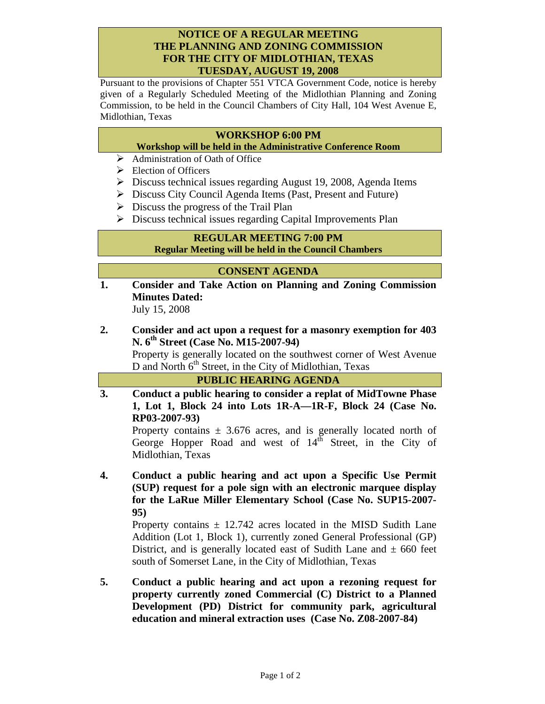### **NOTICE OF A REGULAR MEETING THE PLANNING AND ZONING COMMISSION FOR THE CITY OF MIDLOTHIAN, TEXAS TUESDAY, AUGUST 19, 2008**

Pursuant to the provisions of Chapter 551 VTCA Government Code, notice is hereby given of a Regularly Scheduled Meeting of the Midlothian Planning and Zoning Commission, to be held in the Council Chambers of City Hall, 104 West Avenue E, Midlothian, Texas

### **WORKSHOP 6:00 PM**

- **Workshop will be held in the Administrative Conference Room**
- $\triangleright$  Administration of Oath of Office
- $\triangleright$  Election of Officers
- ¾ Discuss technical issues regarding August 19, 2008, Agenda Items
- ¾ Discuss City Council Agenda Items (Past, Present and Future)
- $\triangleright$  Discuss the progress of the Trail Plan
- $\triangleright$  Discuss technical issues regarding Capital Improvements Plan

# **REGULAR MEETING 7:00 PM**

**Regular Meeting will be held in the Council Chambers** 

#### **CONSENT AGENDA**

- **1. Consider and Take Action on Planning and Zoning Commission Minutes Dated:**  July 15, 2008
- **2. Consider and act upon a request for a masonry exemption for 403 N. 6th Street (Case No. M15-2007-94)**

Property is generally located on the southwest corner of West Avenue D and North  $6<sup>th</sup>$  Street, in the City of Midlothian, Texas

| <b>PUBLIC HEARING AGENDA</b>                                                                                                                   |
|------------------------------------------------------------------------------------------------------------------------------------------------|
| Conduct a public hearing to consider a replat of MidTowne Phase<br>1, Lot 1, Block 24 into Lots 1R-A—1R-F, Block 24 (Case No.<br>RP03-2007-93) |

Property contains  $\pm$  3.676 acres, and is generally located north of George Hopper Road and west of  $14<sup>th</sup>$  Street, in the City of Midlothian, Texas

**4. Conduct a public hearing and act upon a Specific Use Permit (SUP) request for a pole sign with an electronic marquee display for the LaRue Miller Elementary School (Case No. SUP15-2007- 95)** 

Property contains  $\pm$  12.742 acres located in the MISD Sudith Lane Addition (Lot 1, Block 1), currently zoned General Professional (GP) District, and is generally located east of Sudith Lane and  $\pm$  660 feet south of Somerset Lane, in the City of Midlothian, Texas

**5. Conduct a public hearing and act upon a rezoning request for property currently zoned Commercial (C) District to a Planned Development (PD) District for community park, agricultural education and mineral extraction uses (Case No. Z08-2007-84)**